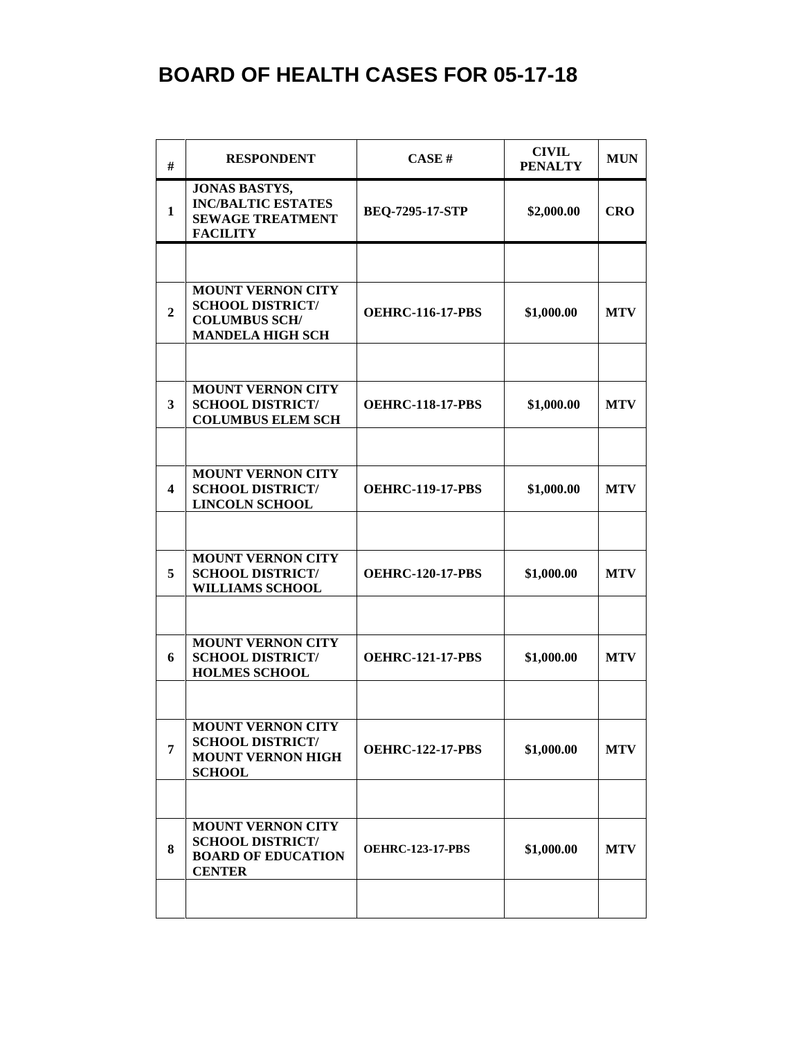## **BOARD OF HEALTH CASES FOR 05-17-18**

| #                | <b>RESPONDENT</b>                                                                                      | CASE#                   | <b>CIVIL</b><br><b>PENALTY</b> | <b>MUN</b> |
|------------------|--------------------------------------------------------------------------------------------------------|-------------------------|--------------------------------|------------|
| $\mathbf{1}$     | <b>JONAS BASTYS,</b><br><b>INC/BALTIC ESTATES</b><br><b>SEWAGE TREATMENT</b><br><b>FACILITY</b>        | <b>BEQ-7295-17-STP</b>  | \$2,000.00                     | <b>CRO</b> |
|                  |                                                                                                        |                         |                                |            |
| $\boldsymbol{2}$ | <b>MOUNT VERNON CITY</b><br><b>SCHOOL DISTRICT/</b><br><b>COLUMBUS SCH/</b><br><b>MANDELA HIGH SCH</b> | <b>OEHRC-116-17-PBS</b> | \$1,000.00                     | <b>MTV</b> |
|                  |                                                                                                        |                         |                                |            |
| 3                | <b>MOUNT VERNON CITY</b><br><b>SCHOOL DISTRICT/</b><br><b>COLUMBUS ELEM SCH</b>                        | <b>OEHRC-118-17-PBS</b> | \$1,000.00                     | <b>MTV</b> |
|                  |                                                                                                        |                         |                                |            |
| 4                | <b>MOUNT VERNON CITY</b><br><b>SCHOOL DISTRICT/</b><br><b>LINCOLN SCHOOL</b>                           | <b>OEHRC-119-17-PBS</b> | \$1,000.00                     | <b>MTV</b> |
|                  |                                                                                                        |                         |                                |            |
| 5                | <b>MOUNT VERNON CITY</b><br><b>SCHOOL DISTRICT/</b><br><b>WILLIAMS SCHOOL</b>                          | <b>OEHRC-120-17-PBS</b> | \$1,000.00                     | <b>MTV</b> |
|                  |                                                                                                        |                         |                                |            |
| 6                | <b>MOUNT VERNON CITY</b><br><b>SCHOOL DISTRICT/</b><br><b>HOLMES SCHOOL</b>                            | <b>OEHRC-121-17-PBS</b> | \$1,000.00                     | <b>MTV</b> |
|                  |                                                                                                        |                         |                                |            |
| 7                | <b>MOUNT VERNON CITY</b><br><b>SCHOOL DISTRICT/</b><br><b>MOUNT VERNON HIGH</b><br><b>SCHOOL</b>       | <b>OEHRC-122-17-PBS</b> | \$1,000.00                     | <b>MTV</b> |
|                  |                                                                                                        |                         |                                |            |
| 8                | <b>MOUNT VERNON CITY</b><br><b>SCHOOL DISTRICT/</b><br><b>BOARD OF EDUCATION</b><br><b>CENTER</b>      | <b>OEHRC-123-17-PBS</b> | \$1,000.00                     | <b>MTV</b> |
|                  |                                                                                                        |                         |                                |            |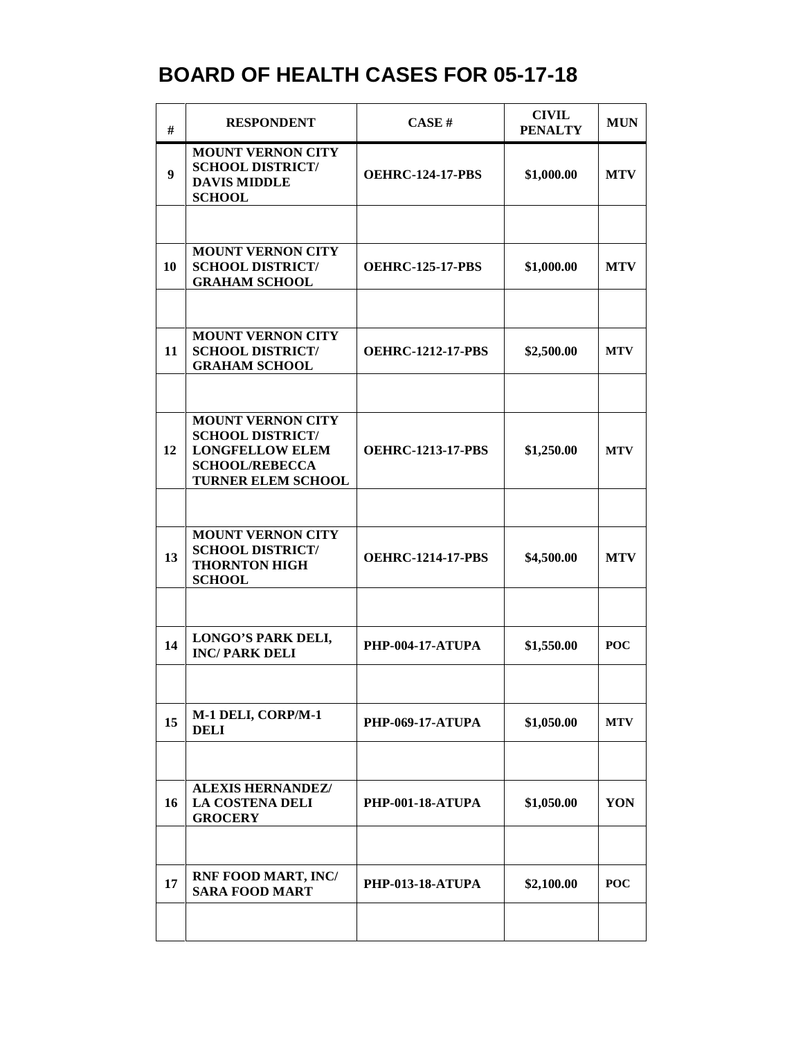## **BOARD OF HEALTH CASES FOR 05-17-18**

| #  | <b>RESPONDENT</b>                                                                                                                   | <b>CASE#</b>             | <b>CIVIL</b><br><b>PENALTY</b> | <b>MUN</b> |
|----|-------------------------------------------------------------------------------------------------------------------------------------|--------------------------|--------------------------------|------------|
| 9  | <b>MOUNT VERNON CITY</b><br><b>SCHOOL DISTRICT/</b><br><b>DAVIS MIDDLE</b><br><b>SCHOOL</b>                                         | <b>OEHRC-124-17-PBS</b>  | \$1,000.00                     | <b>MTV</b> |
|    |                                                                                                                                     |                          |                                |            |
| 10 | <b>MOUNT VERNON CITY</b><br><b>SCHOOL DISTRICT/</b><br><b>GRAHAM SCHOOL</b>                                                         | <b>OEHRC-125-17-PBS</b>  | \$1,000.00                     | <b>MTV</b> |
|    |                                                                                                                                     |                          |                                |            |
| 11 | <b>MOUNT VERNON CITY</b><br><b>SCHOOL DISTRICT/</b><br><b>GRAHAM SCHOOL</b>                                                         | <b>OEHRC-1212-17-PBS</b> | \$2,500.00                     | <b>MTV</b> |
|    |                                                                                                                                     |                          |                                |            |
| 12 | <b>MOUNT VERNON CITY</b><br><b>SCHOOL DISTRICT/</b><br><b>LONGFELLOW ELEM</b><br><b>SCHOOL/REBECCA</b><br><b>TURNER ELEM SCHOOL</b> | <b>OEHRC-1213-17-PBS</b> | \$1,250.00                     | <b>MTV</b> |
|    |                                                                                                                                     |                          |                                |            |
| 13 | <b>MOUNT VERNON CITY</b><br><b>SCHOOL DISTRICT/</b><br><b>THORNTON HIGH</b><br><b>SCHOOL</b>                                        | <b>OEHRC-1214-17-PBS</b> | \$4,500.00                     | <b>MTV</b> |
|    |                                                                                                                                     |                          |                                |            |
| 14 | <b>LONGO'S PARK DELI,</b><br><b>INC/PARK DELI</b>                                                                                   | <b>PHP-004-17-ATUPA</b>  | \$1,550.00                     | <b>POC</b> |
|    |                                                                                                                                     |                          |                                |            |
| 15 | M-1 DELI, CORP/M-1<br><b>DELI</b>                                                                                                   | <b>PHP-069-17-ATUPA</b>  | \$1,050.00                     | <b>MTV</b> |
|    |                                                                                                                                     |                          |                                |            |
| 16 | <b>ALEXIS HERNANDEZ/</b><br><b>LA COSTENA DELI</b><br><b>GROCERY</b>                                                                | <b>PHP-001-18-ATUPA</b>  | \$1,050.00                     | YON        |
|    |                                                                                                                                     |                          |                                |            |
| 17 | <b>RNF FOOD MART, INC/</b><br><b>SARA FOOD MART</b>                                                                                 | <b>PHP-013-18-ATUPA</b>  | \$2,100.00                     | <b>POC</b> |
|    |                                                                                                                                     |                          |                                |            |